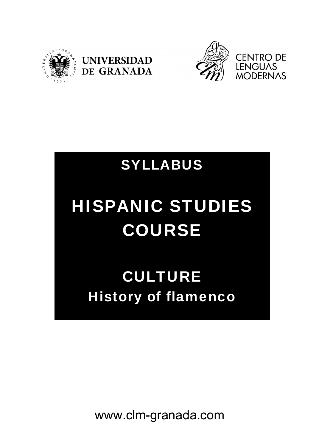





## SYLLABUS

# HISPANIC STUDIES COURSE

# CULTURE History of flamenco

www.clm-granada.com